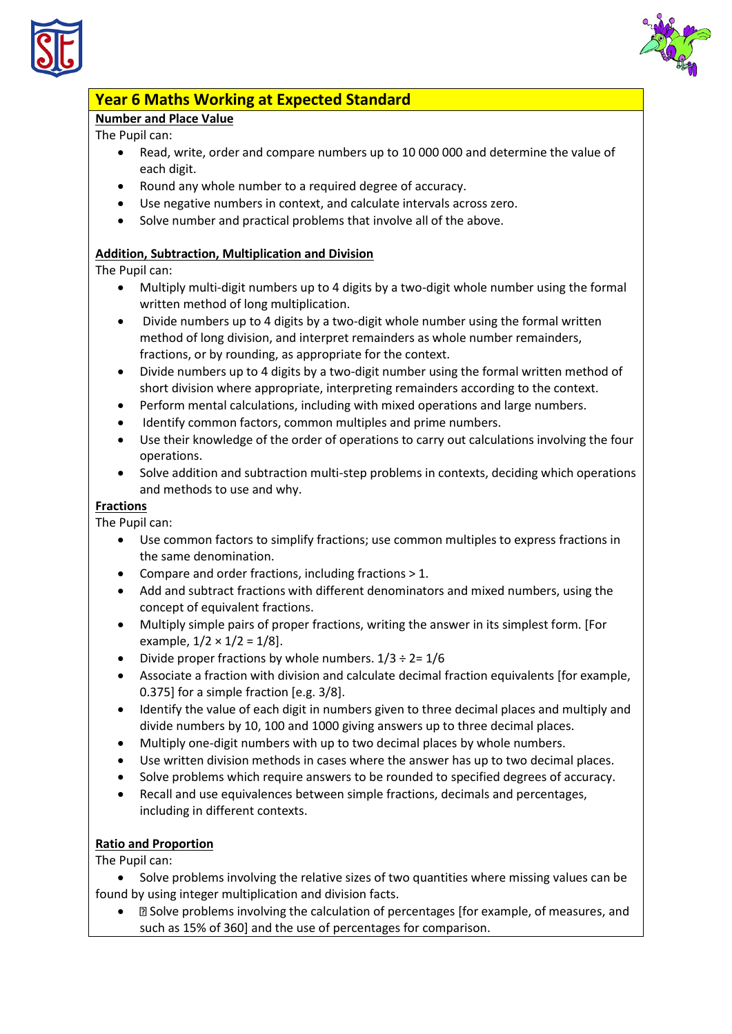



# **Year 6 Maths Working at Expected Standard**

### **Number and Place Value**

The Pupil can:

- Read, write, order and compare numbers up to 10 000 000 and determine the value of each digit.
- Round any whole number to a required degree of accuracy.
- Use negative numbers in context, and calculate intervals across zero.
- Solve number and practical problems that involve all of the above.

### **Addition, Subtraction, Multiplication and Division**

The Pupil can:

- Multiply multi-digit numbers up to 4 digits by a two-digit whole number using the formal written method of long multiplication.
- Divide numbers up to 4 digits by a two-digit whole number using the formal written method of long division, and interpret remainders as whole number remainders, fractions, or by rounding, as appropriate for the context.
- Divide numbers up to 4 digits by a two-digit number using the formal written method of short division where appropriate, interpreting remainders according to the context.
- Perform mental calculations, including with mixed operations and large numbers.
- Identify common factors, common multiples and prime numbers.
- Use their knowledge of the order of operations to carry out calculations involving the four operations.
- Solve addition and subtraction multi-step problems in contexts, deciding which operations and methods to use and why.

#### **Fractions**

The Pupil can:

- Use common factors to simplify fractions; use common multiples to express fractions in the same denomination.
- Compare and order fractions, including fractions > 1.
- Add and subtract fractions with different denominators and mixed numbers, using the concept of equivalent fractions.
- Multiply simple pairs of proper fractions, writing the answer in its simplest form. [For example,  $1/2 \times 1/2 = 1/8$ .
- Divide proper fractions by whole numbers.  $1/3 \div 2 = 1/6$
- Associate a fraction with division and calculate decimal fraction equivalents [for example, 0.375] for a simple fraction [e.g. 3/8].
- Identify the value of each digit in numbers given to three decimal places and multiply and divide numbers by 10, 100 and 1000 giving answers up to three decimal places.
- Multiply one-digit numbers with up to two decimal places by whole numbers.
- Use written division methods in cases where the answer has up to two decimal places.
- Solve problems which require answers to be rounded to specified degrees of accuracy.
- Recall and use equivalences between simple fractions, decimals and percentages, including in different contexts.

## **Ratio and Proportion**

The Pupil can:

- Solve problems involving the relative sizes of two quantities where missing values can be found by using integer multiplication and division facts.
	- $\Box$  Solve problems involving the calculation of percentages [for example, of measures, and such as 15% of 360] and the use of percentages for comparison.